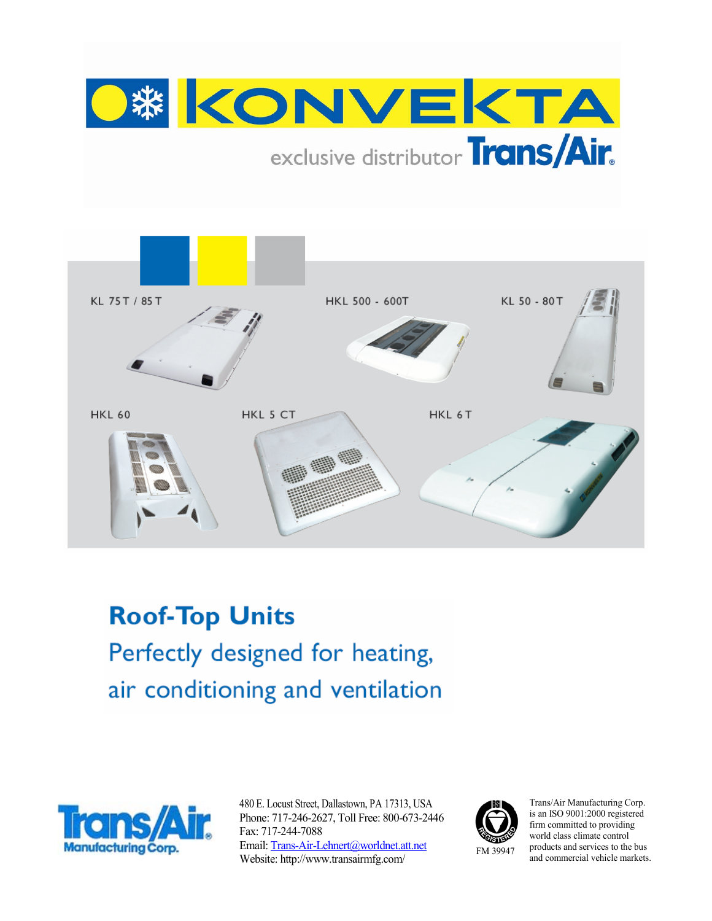



**Roof-Top Units** Perfectly designed for heating, air conditioning and ventilation



480 E. Locust Street, Dallastown, PA 17313, USA Phone: 717-246-2627, Toll Free: 800-673-2446 Fax: 717-244-7088 Email: Trans-Air-Lehnert@worldnet.att.net Website: http://www.transairmfg.com/



Trans/Air Manufacturing Corp. is an ISO 9001:2000 registered firm committed to providing world class climate control products and services to the bus and commercial vehicle markets.